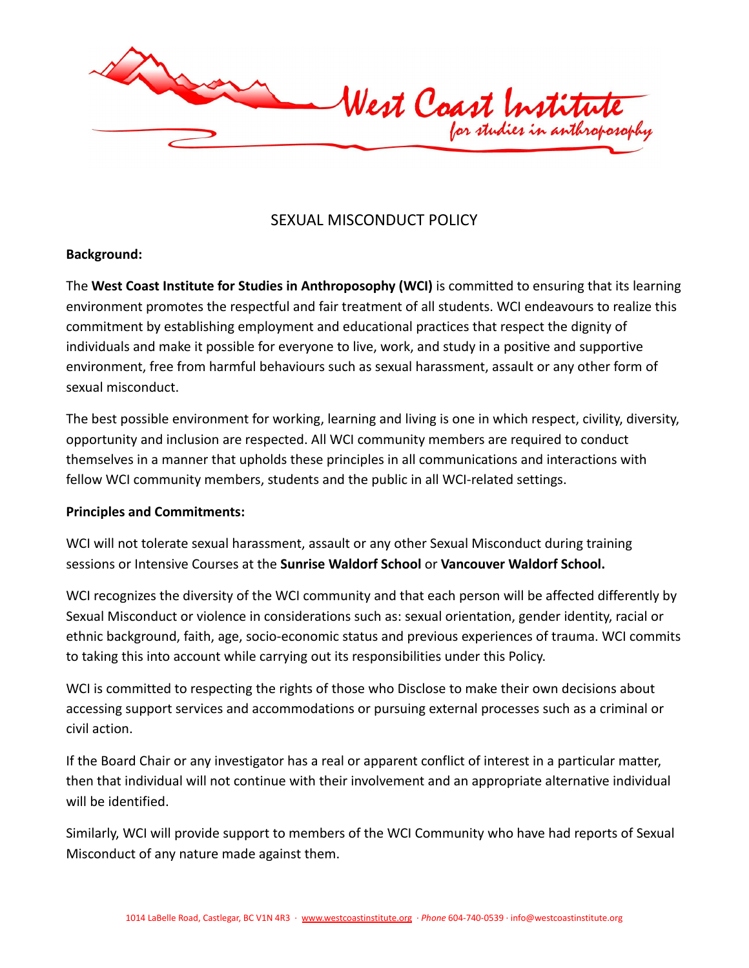

# SEXUAL MISCONDUCT POLICY

#### **Background:**

The **West Coast Institute for Studies in Anthroposophy (WCI)** is committed to ensuring that its learning environment promotes the respectful and fair treatment of all students. WCI endeavours to realize this commitment by establishing employment and educational practices that respect the dignity of individuals and make it possible for everyone to live, work, and study in a positive and supportive environment, free from harmful behaviours such as sexual harassment, assault or any other form of sexual misconduct.

The best possible environment for working, learning and living is one in which respect, civility, diversity, opportunity and inclusion are respected. All WCI community members are required to conduct themselves in a manner that upholds these principles in all communications and interactions with fellow WCI community members, students and the public in all WCI-related settings.

#### **Principles and Commitments:**

WCI will not tolerate sexual harassment, assault or any other Sexual Misconduct during training sessions or Intensive Courses at the **Sunrise Waldorf School** or **Vancouver Waldorf School.**

WCI recognizes the diversity of the WCI community and that each person will be affected differently by Sexual Misconduct or violence in considerations such as: sexual orientation, gender identity, racial or ethnic background, faith, age, socio-economic status and previous experiences of trauma. WCI commits to taking this into account while carrying out its responsibilities under this Policy.

WCI is committed to respecting the rights of those who Disclose to make their own decisions about accessing support services and accommodations or pursuing external processes such as a criminal or civil action.

If the Board Chair or any investigator has a real or apparent conflict of interest in a particular matter, then that individual will not continue with their involvement and an appropriate alternative individual will be identified.

Similarly, WCI will provide support to members of the WCI Community who have had reports of Sexual Misconduct of any nature made against them.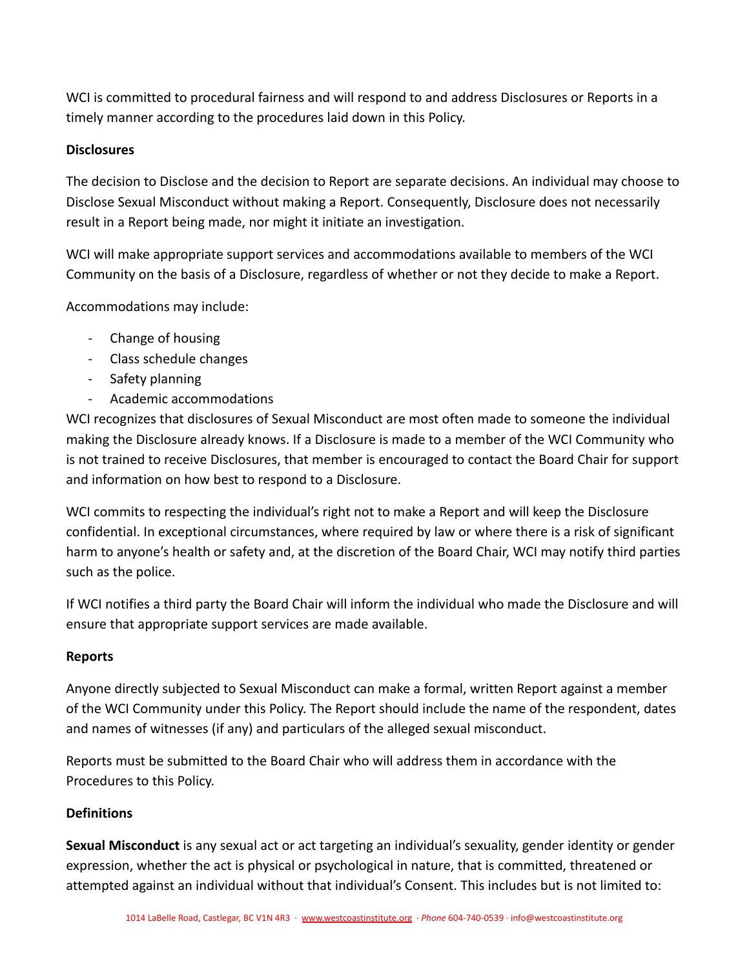WCI is committed to procedural fairness and will respond to and address Disclosures or Reports in a timely manner according to the procedures laid down in this Policy.

#### **Disclosures**

The decision to Disclose and the decision to Report are separate decisions. An individual may choose to Disclose Sexual Misconduct without making a Report. Consequently, Disclosure does not necessarily result in a Report being made, nor might it initiate an investigation.

WCI will make appropriate support services and accommodations available to members of the WCI Community on the basis of a Disclosure, regardless of whether or not they decide to make a Report.

Accommodations may include:

- Change of housing
- Class schedule changes
- Safety planning
- Academic accommodations

WCI recognizes that disclosures of Sexual Misconduct are most often made to someone the individual making the Disclosure already knows. If a Disclosure is made to a member of the WCI Community who is not trained to receive Disclosures, that member is encouraged to contact the Board Chair for support and information on how best to respond to a Disclosure.

WCI commits to respecting the individual's right not to make a Report and will keep the Disclosure confidential. In exceptional circumstances, where required by law or where there is a risk of significant harm to anyone's health or safety and, at the discretion of the Board Chair, WCI may notify third parties such as the police.

If WCI notifies a third party the Board Chair will inform the individual who made the Disclosure and will ensure that appropriate support services are made available.

#### **Reports**

Anyone directly subjected to Sexual Misconduct can make a formal, written Report against a member of the WCI Community under this Policy. The Report should include the name of the respondent, dates and names of witnesses (if any) and particulars of the alleged sexual misconduct.

Reports must be submitted to the Board Chair who will address them in accordance with the Procedures to this Policy.

## **Definitions**

**Sexual Misconduct** is any sexual act or act targeting an individual's sexuality, gender identity or gender expression, whether the act is physical or psychological in nature, that is committed, threatened or attempted against an individual without that individual's Consent. This includes but is not limited to: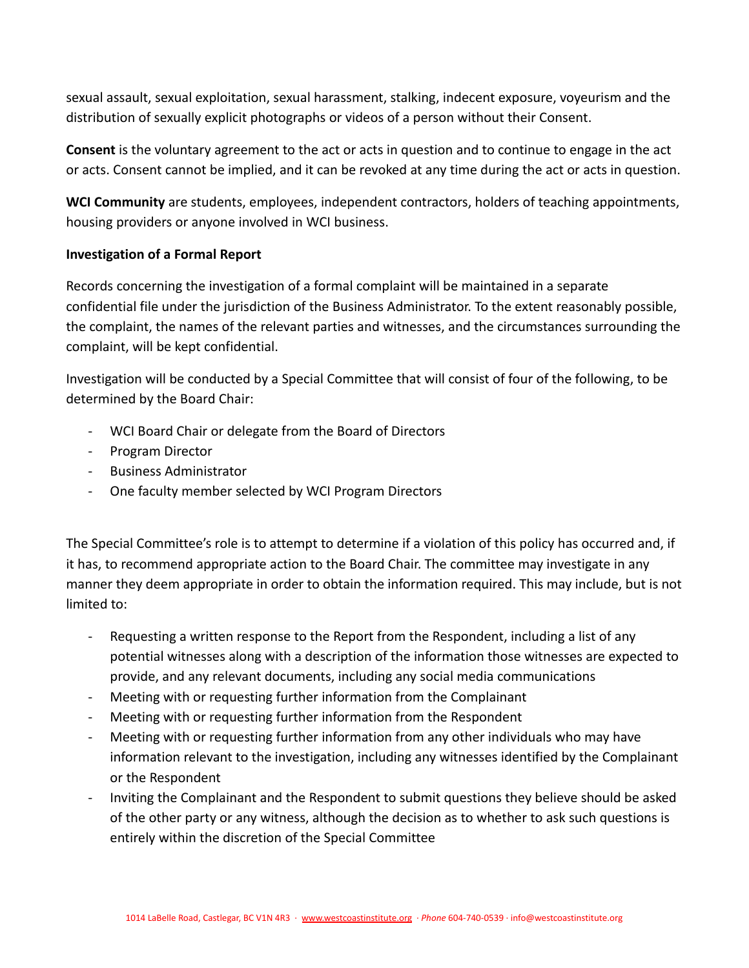sexual assault, sexual exploitation, sexual harassment, stalking, indecent exposure, voyeurism and the distribution of sexually explicit photographs or videos of a person without their Consent.

**Consent** is the voluntary agreement to the act or acts in question and to continue to engage in the act or acts. Consent cannot be implied, and it can be revoked at any time during the act or acts in question.

**WCI Community** are students, employees, independent contractors, holders of teaching appointments, housing providers or anyone involved in WCI business.

### **Investigation of a Formal Report**

Records concerning the investigation of a formal complaint will be maintained in a separate confidential file under the jurisdiction of the Business Administrator. To the extent reasonably possible, the complaint, the names of the relevant parties and witnesses, and the circumstances surrounding the complaint, will be kept confidential.

Investigation will be conducted by a Special Committee that will consist of four of the following, to be determined by the Board Chair:

- WCI Board Chair or delegate from the Board of Directors
- Program Director
- Business Administrator
- One faculty member selected by WCI Program Directors

The Special Committee's role is to attempt to determine if a violation of this policy has occurred and, if it has, to recommend appropriate action to the Board Chair. The committee may investigate in any manner they deem appropriate in order to obtain the information required. This may include, but is not limited to:

- Requesting a written response to the Report from the Respondent, including a list of any potential witnesses along with a description of the information those witnesses are expected to provide, and any relevant documents, including any social media communications
- Meeting with or requesting further information from the Complainant
- Meeting with or requesting further information from the Respondent
- Meeting with or requesting further information from any other individuals who may have information relevant to the investigation, including any witnesses identified by the Complainant or the Respondent
- Inviting the Complainant and the Respondent to submit questions they believe should be asked of the other party or any witness, although the decision as to whether to ask such questions is entirely within the discretion of the Special Committee